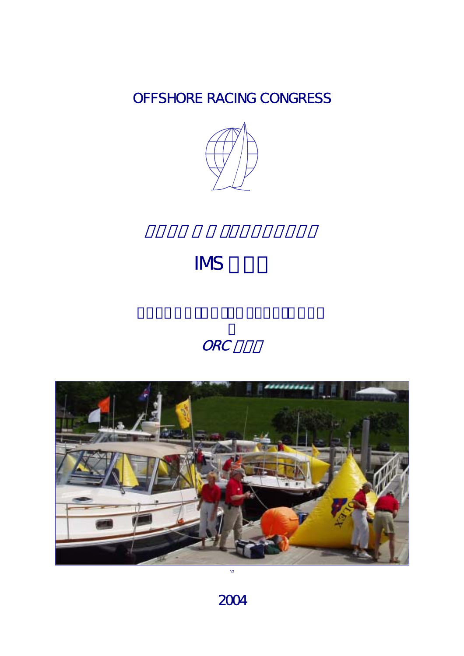## OFFSHORE RACING CONGRESS



# IM<sub>S</sub>

# ORC



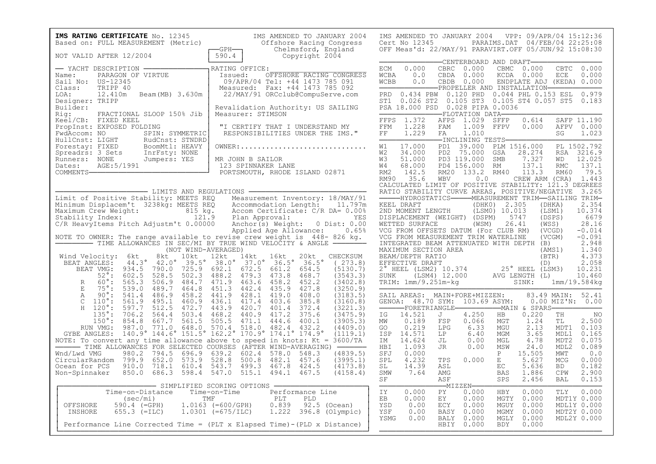| IMS RATING CERTIFICATE No. 12345<br>Based on: FULL MEASUREMENT (Metric)<br>NOT VALID AFTER 12/2004                                                                                                                                                                                                                               | IMS AMENDED TO JANUARY 2004<br>Offshore Racing Congress<br>-GPH-<br>Chelmsford, England<br>590.4<br>Copyright 2004                                                                                                                                                                                                                                                                                                                                            | VPP: 09/APR/04 15:12:36<br>IMS AMENDED TO JANUARY 2004<br>Cert No 12345<br>PARAIMS.DAT 04/FEB/04 22:25:08<br>OFF Meas'd: 22/MAY/91 PARAVIRT.OFF 05/JUN/92 15:08:30                                                                                                                                                                                                                                                                                                                      |
|----------------------------------------------------------------------------------------------------------------------------------------------------------------------------------------------------------------------------------------------------------------------------------------------------------------------------------|---------------------------------------------------------------------------------------------------------------------------------------------------------------------------------------------------------------------------------------------------------------------------------------------------------------------------------------------------------------------------------------------------------------------------------------------------------------|-----------------------------------------------------------------------------------------------------------------------------------------------------------------------------------------------------------------------------------------------------------------------------------------------------------------------------------------------------------------------------------------------------------------------------------------------------------------------------------------|
| - YACHT DESCRIPTION -<br>PARAGON OF VIRTUE<br>Name:<br>Sail No: US-12345<br>Class:<br>TRIPP 40<br>12.410m<br>Beam (MB) 3.630m<br>LOA:<br>Designer: TRIPP<br>Builder:<br>FRACTIONAL SLOOP 150% Jib<br>Rig:                                                                                                                        | RATING OFFICE:<br>OFFSHORE RACING CONGRESS<br>Issued:<br>09/APR/04 Tel: +44 1473 785 091<br>Measured: Fax: +44 1473 785 092<br>22/MAY/91 ORCclub@CompuServe.com<br>Revalidation Authority: US SAILING<br>Measurer: STIMSON                                                                                                                                                                                                                                    | -CENTERBOARD AND DRAFT-<br>ECM<br>0.000<br>0.000<br>0.000<br><b>CBTC</b><br>0.000<br>CBRC<br>CBMC<br>WCBA<br>0.0<br>0.000<br>CBDA<br>KCDA 0.000<br>ECE<br>0.000<br><b>WCBB</b><br>0.0<br>CBDB<br>0.000<br>ENDPLATE ADJ (KEDA) 0.000<br>-PROPELLER AND INSTALLATION-<br>0.979<br>PRD<br>0.434 PBW 0.120 PHD<br>$0.044$ PHL $0.153$ ESL<br>ST1<br>$0.105$ ST3<br>$0.026$ ST2<br>0.105 ST4 0.057 ST5<br>0.183<br>PSA 18.000 PSD 0.028 PIPA 0.0036<br>-FLOTATION DATA-                      |
| Keel/CB: FIXED KEEL<br>PropInst: EXPOSED FOLDING<br>SPIN: SYMMETRIC<br>FwdAccom: NO<br>HullCnst: LIGHT<br>RudCnst: STNDRD                                                                                                                                                                                                        | "I CERTIFY THAT I UNDERSTAND MY<br>RESPONSIBILITIES UNDER THE IMS."                                                                                                                                                                                                                                                                                                                                                                                           | 1.372<br>SAFP 11.190<br>FFPS<br>1.029<br>0.614<br>AFPS<br>SFFP<br>1.228<br>0.000<br>FFM<br>FAM<br>1.009<br>FFPV<br>AFPV 0.000<br>${\rm FF}$<br>1.229<br>1.010<br>SG<br>1.023<br>FA<br>-INCLINING TESTS-                                                                                                                                                                                                                                                                                 |
| Forestay: FIXED<br>BoomMtl: HEAVY<br>Spreadrs: 3 Sets<br>InrFsty: NONE<br>Runners: NONE<br>Jumpers: YES<br>AGE: 5/1991<br>Dates:<br>COMMENTS-                                                                                                                                                                                    | MR JOHN B SAILOR<br>123 SPINNAKER LANE<br>PORTSMOUTH, RHODE ISLAND 02871                                                                                                                                                                                                                                                                                                                                                                                      | 17.000<br>39.000<br>PLM 1516.000<br>PL 1502.792<br>W1<br>PD1<br>34.000<br>W2<br>PD <sub>2</sub><br>75.000<br>GSA<br>28.274<br>RSA 3216.9<br>7.327<br>WЗ<br>51.000<br>PD3 119.000<br>12.025<br>SMB<br>WD<br>W4<br>68.000<br>137.1<br>PD4 156.000<br>RM<br><b>RMC</b><br>137.1<br>142.5<br>RM <sub>2</sub><br>RM20 133.2<br>RM40<br>113.3<br><b>RM60</b><br>79.5<br>RM90<br>35.6<br>0.0<br>CREW ARM (CRA)<br><b>WBV</b><br>1.443<br>CALCULATED LIMIT OF POSITIVE STABILITY: 121.3 DEGREES |
| — LIMITS AND REGULATIONS —<br>Limit of Positive Stability: MEETS REQ<br>Minimum Displacem't 3238kg: MEETS REQ<br>815 kg.<br>Maximum Crew Weight:<br>121.9<br>Stability Index:<br>C/R HeavyItems Pitch Adjustm't 0.00000                                                                                                          | Measurement Inventory: 18/MAY/91<br>11.797m<br>Accommodation Length:<br>Accom Certificate: C/R DA= 0.00%<br>YES<br>Plan Approval:<br>0 Dist: 0.00<br>Anchor(s) Weight:<br>Applied Age Allowance:<br>0.65%                                                                                                                                                                                                                                                     | RATIO STABILITY CURVE AREAS, POSITIVE/NEGATIVE<br>3.265<br>KEEL DRAFT<br>2.305<br>2.354<br>(DHKO)<br>(DHKA)<br>(LSM0) 10.013<br>10.374<br>2ND MOMENT LENGTH<br>(LSM1)<br>DISPLACEMENT (WEIGHT) (DSPM)<br>5747<br>(DSPS)<br>6679<br>28.16<br>WETTED SURFACE<br>26.41<br>(WSM)<br>(WSS)<br>VCG FROM OFFSETS DATUM (For CLUB RM)<br>$-0.014$<br>(VCGD)                                                                                                                                     |
| (NOT WIND-AVERAGED)<br>Wind Velocity:<br>8kt<br>10kt<br>6kt<br>$39.5^\circ$<br>$44.3^{\circ}$<br>$42.0^\circ$<br>BEAT ANGLES:<br>725.9<br>BEAT VMG:<br>934.5<br>790.0<br>$52^\circ$ :<br>602.5<br>528.5<br>502.3<br>$60^\circ$ :<br>565.3<br>506.9<br>484.7<br>R<br>75°<br>539.0<br>489.7<br>464.8<br>Ε                          | NOTE TO OWNER: The range available to revise crew weight is 448-826 kg.<br>- TIME ALLOWANCES IN SEC/MI BY TRUE WIND VELOCITY & ANGLE -<br>12kt<br>20kt<br>CHECKSUM<br>14kt<br>16kt<br>$38.0^\circ$<br>$37.0^\circ$<br>$36.5^\circ$<br>$36.5^\circ$<br>(273.8)<br>692.1<br>672.5<br>(5130.7)<br>661.2<br>654.5<br>488.2<br>479.3<br>473.8<br>468.7<br>(3543.3)<br>471.9<br>452.2<br>463.6<br>458.2<br>(3402.8)<br>451.3<br>442.4<br>435.9<br>427.8<br>(3250.9) | VCG FROM MEASUREMENT TRIM WATERLINE<br>(VCGM)<br>$-0.091$<br>2.948<br>INTEGRATED BEAM ATTENUATED WITH DEPTH<br>(B)<br>1.340<br>MAXIMUM SECTION AREA<br>(AMS1)<br>4.373<br>BEAM/DEPTH RATIO<br>(BTR)<br>2.058<br>EFFECTIVE DRAFT<br>(D)<br>25° HEEL<br>2° HEEL (LSM2) 10.374<br>10.231<br>(LSM3)<br>$(LSM4)$ 12.000<br>AVG LENGTH (L)<br>10.460<br>SUNK<br>TRIM: 1mm/9.251m-kg<br>SINK:<br>1mm/19.584kg                                                                                  |
| $90^\circ$ :<br>458.2<br>541.4<br>486.9<br>Α<br>110°<br>561.9<br>495.1<br>460.9<br>$120^\circ$ :<br>597.7<br>Η<br>512.5<br>472.7<br>$135^\circ$ :<br>706.2<br>564.4<br>503.4<br>$150^\circ$ :<br>854.8<br>667.7<br>561.5<br>771.0<br>RUN VMG:<br>987.0<br>648.0<br>GYBE ANGLES: 140.9° 144.6° 151.5° 162.2° 170.9° 174.1° 174.9° | 428.1<br>408.0<br>441.9<br>419.0<br>(3183.5)<br>417.4<br>436.1<br>403.6<br>385.8<br>(3160.8)<br>443.9<br>420.7<br>401.4<br>372.4<br>(3221.3)<br>468.2<br>440.9<br>417.2<br>375.6<br>(3475.9)<br>505.5<br>471.1<br>444.6<br>400.1<br>(3905.3)<br>(4409.0)<br>570.4<br>518.0<br>482.4<br>432.2<br>(1119.1)                                                                                                                                                      | 83.49 MAIN:<br>52.41<br>SAIL AREAS: MAIN+FORE+MIZZEN:<br>GENOA: 48.70 SYM:<br>103.69 ASYM:<br>$0.00$ $MIZ'N$ :<br>0.00<br>—FORETRIANGLE-<br>— MAIN & SPARS——<br>$\qquad \qquad -$<br>14.521<br>4.250<br>ΙG<br>J<br>HB<br>0.220<br>TН<br>NO<br>1.24<br>2.500<br>ΜW<br>0.189<br>FSP<br>0.066<br>MGT<br>TL<br>6.33<br>GO<br>0.219<br>2.13<br>MDT1<br>0.103<br><b>LPG</b><br>MGU<br>14.571<br>6.40<br>3.65<br>ISP<br>LP<br>MGM<br>MDL1<br>0.165                                             |
| - TIME ALLOWANCES FOR SELECTED COURSES (AFTER WIND-AVERAGING)<br>980.2<br>794.5<br>696.9<br>Wnd/Lwd VMG<br>CircularRandom<br>799.9<br>652.0<br>573.9<br>910.0<br>718.1<br>610.4<br>Ocean for PCS<br>850.0<br>686.3 598.4<br>Non-Spinnaker                                                                                        | NOTE: To convert any time allowance above to speed in knots: Kt = 3600/TA<br>639.2<br>602.4<br>578.0 548.3<br>(4839.5)<br>(3995.1)<br>528.8<br>500.8<br>482.1<br>457.6<br>543.7<br>467.8<br>499.3<br>424.5<br>(4173.8)<br>547.0<br>515.1<br>494.1<br>467.5<br>(4158.4)<br>- SIMPLIFIED SCORING OPTIONS                                                                                                                                                        | ΙM<br>14.624<br>JL<br>0.00<br>4.78<br>MDT2<br>0.075<br>MGL<br>1.093<br>0.00<br>MSW<br>24.0<br>MDL <sub>2</sub><br>0.089<br>HBI<br>JR<br>0.000<br>P<br>15.505<br>SFJ<br>MWT<br>0.0<br>4.232<br>0.000<br>SPL<br>TPS<br>Е<br>5.627<br>MCG<br>0.000<br>SL<br>14.39<br>5.636<br>ASL<br>EC.<br><b>BD</b><br>0.182<br>1.886<br>SMW<br>7.64<br>AMG<br>BAS<br>CPW<br>2.900<br>ASF<br>SF<br>SPS<br>2.456<br>0.153<br>BAL<br>-MIZZEN-                                                              |
| Time-on-Distance<br>$(\text{sec}/\text{mi})$<br>OFFSHORE<br>$590.4$ (=GPH)<br>INSHORE<br>$655.3$ (=ILC)                                                                                                                                                                                                                          | Time-on-Time<br>Performance Line<br>TMF<br>PLT<br>PLD<br>0.839<br>92.5<br>$1.0163$ (=600/GPH)<br>(Ocean)<br>1.222<br>$1.0301$ (=675/ILC)<br>396.8 (Olympic)<br>Performance Line Corrected Time = (PLT x Elapsed Time) - (PLD x Distance)                                                                                                                                                                                                                      | IY<br>0.000<br>PY<br>0.000<br>0.000<br>0.000<br>HBY<br>TLY<br>0.000<br>0.000<br>MDT1Y 0.000<br>EB<br>ΕY<br>0.000<br>MGTY<br>YSD<br>0.00<br>ECY<br>0.000<br>MGUY<br>0.000<br>MDL1Y 0.000<br>YSF<br>0.00<br>0.000<br>0.000<br>MDT2Y 0.000<br>BASY<br>MGMY<br>YSMG<br>0.00<br>0.000<br>MGLY<br>0.000<br>MDL2Y 0.000<br>BALY<br>HBIY<br>0.000<br><b>BDY</b><br>0.000                                                                                                                        |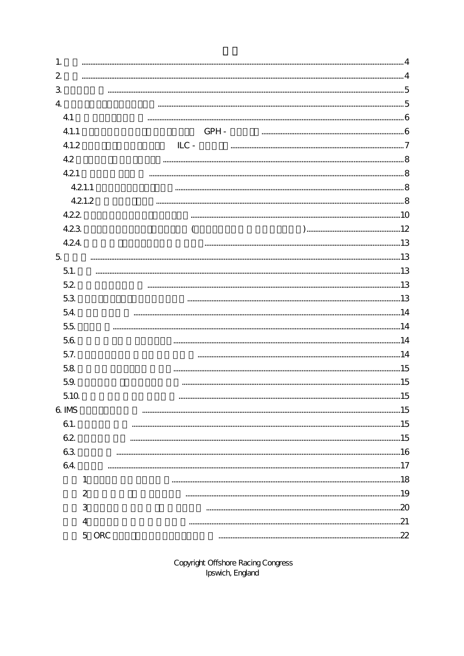| 1.             |         |  |
|----------------|---------|--|
| 2              |         |  |
| 3.             |         |  |
| 4.             |         |  |
| 4.1            |         |  |
| 4.1.1          | GPH-    |  |
| 4.1.2          | $ILC -$ |  |
| 4.2            |         |  |
| 4.21           |         |  |
| 4.21.1         |         |  |
| 4.21.2         |         |  |
| 4.22           |         |  |
| 4.23           |         |  |
| 4.24           |         |  |
| 5.             |         |  |
| $5.1$ .        |         |  |
| 5.2            |         |  |
| 5.3.           |         |  |
| 5.4            |         |  |
| 5.5.           |         |  |
| 5.6            |         |  |
| 5.7.           |         |  |
| 5.8            |         |  |
| 5.9.           |         |  |
| 5.10           |         |  |
| 6. IMS         |         |  |
| 61.            |         |  |
| 6.2            |         |  |
| 63             |         |  |
| 6.4.           |         |  |
| 1              |         |  |
| $\overline{2}$ |         |  |
| 3              |         |  |
| $\overline{4}$ |         |  |
| 5              | ORC     |  |

Copyright Offshore Racing Congress<br>Ipswich, England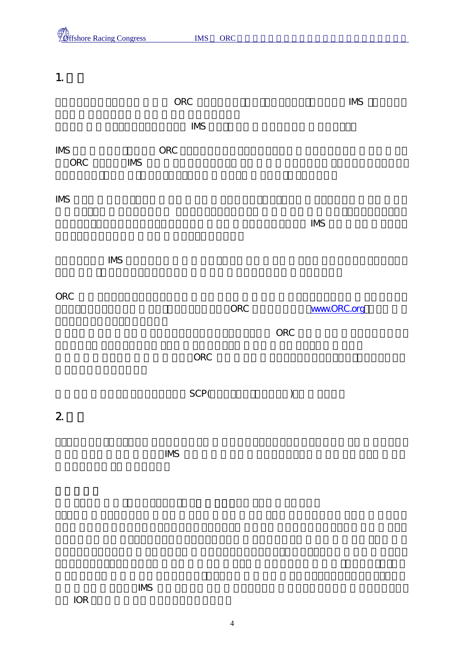| 1.                            |                |            |                |     |         |                         |
|-------------------------------|----------------|------------|----------------|-----|---------|-------------------------|
|                               |                | ORC        |                |     |         | $\textsf{IN}\textsf{S}$ |
|                               |                |            | $\mathsf{INB}$ |     |         |                         |
| $\mathsf{INB}$<br>${\sf ORC}$ | $\mathsf{INB}$ | ORC        |                |     |         |                         |
| $\mathsf{INB}$                |                |            |                |     |         |                         |
|                               |                |            |                |     |         | $\mathsf{IN}\mathsf{S}$ |
|                               | IMS            |            |                |     |         |                         |
| ORC                           |                |            |                | ORC |         | www.ORC.org             |
|                               |                |            |                |     | ORC     |                         |
|                               |                |            | ORC            |     |         |                         |
|                               |                |            | SCP(           |     | $\big)$ |                         |
| $\overline{2}$                |                |            |                |     |         |                         |
|                               |                | <b>IMS</b> |                |     |         |                         |

 $M\lesssim$ 

IOR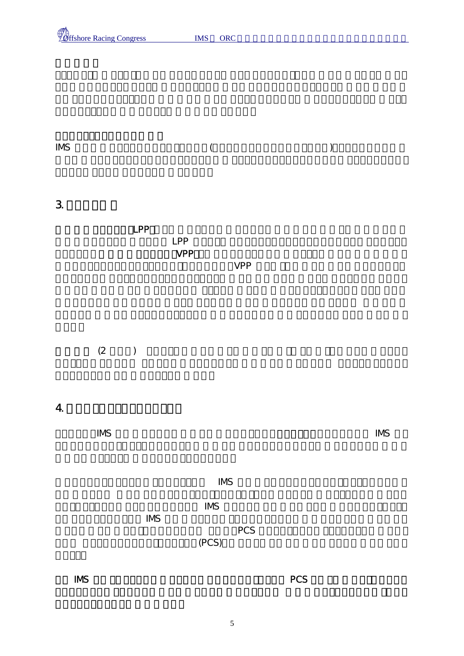| IMS            |     |                          | $\big($                        | $\big)$                 |
|----------------|-----|--------------------------|--------------------------------|-------------------------|
| $\mathfrak{Z}$ |     | <b>LPP</b><br>LPP<br>VPP | <b>VPP</b>                     |                         |
|                | (2) | $\big)$                  |                                |                         |
| 4.             | INS |                          |                                | $\mathsf{IN}\mathsf{S}$ |
|                |     |                          | <b>IMS</b>                     |                         |
|                |     | $\mathsf{INB}$           | $\mathsf{INB}$<br>PCS<br>(PCS) |                         |

 $\textsf{INS}$  exactly provided by  $\textsf{PCS}$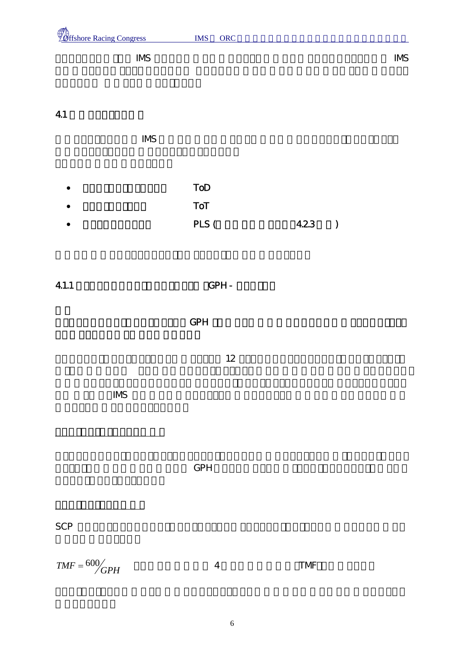| <b>Deffshore Racing Congress</b> | <b>IMS</b><br>ORC |          |                |
|----------------------------------|-------------------|----------|----------------|
| $\mathsf{IN}\mathsf{S}$          |                   |          | $\mathsf{INB}$ |
|                                  |                   |          |                |
| 4.1                              |                   |          |                |
| $\mathsf{INB}$                   |                   |          |                |
|                                  | <b>ToD</b>        |          |                |
|                                  | ToT               |          |                |
|                                  | PLS (             | $4.23$ ) |                |
|                                  |                   |          |                |
| 4.1.1                            | <b>GPH</b>        |          |                |
|                                  | <b>GPH</b>        |          |                |
|                                  | 12                |          |                |
| $\mathsf{INB}$                   |                   |          |                |
|                                  |                   |          |                |
|                                  |                   |          |                |
|                                  | GPH               |          |                |
|                                  |                   |          |                |
| SCP                              |                   |          |                |

 $TMF = 600/$  GPH 4 TMF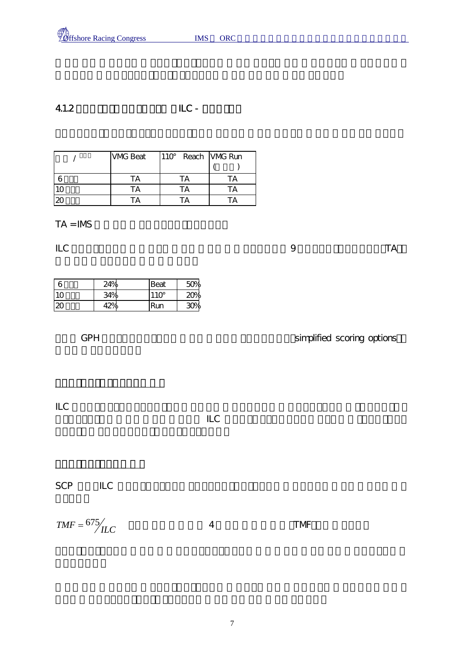#### 4.1.2 ILC

|    | <b>VMG Beat</b> | 110° Reach VMG Run |    |
|----|-----------------|--------------------|----|
|    | ТA              | TА                 | ΓA |
| 10 | ТA              | TА                 | ГΑ |
|    |                 | ГΔ                 |    |

 $TA = INS$ 

 $ILC$  TA

| n  | 24%                   | Beat             | 50% |
|----|-----------------------|------------------|-----|
| 10 | 34%                   | 110 <sup>°</sup> | 20% |
| 20 | $\mathcal{P}_\Lambda$ | Run              | 30% |

タイム・オン・ディスタンス方式:

community GPH GPH of the Contract of Lating Simplified scoring options

 $ILC$ 

SCP LLC  $\blacksquare$ 

 $TMF = \frac{675}{L}$  **4** TMF

 $\mathsf{ILC}\phantom{0}$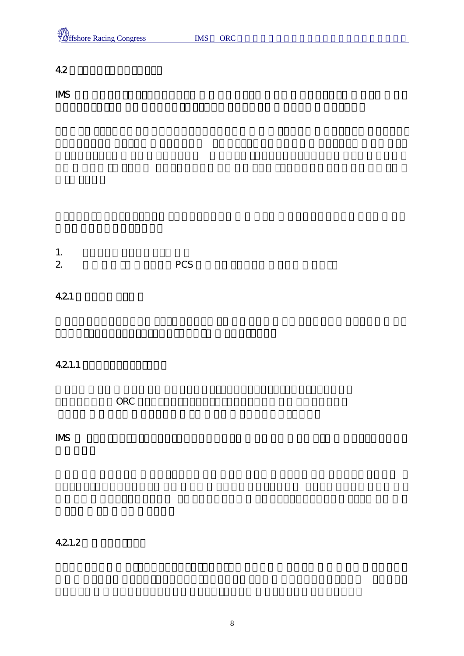| 4.2                                     |     |     |  |  |
|-----------------------------------------|-----|-----|--|--|
| IMS                                     |     |     |  |  |
|                                         |     |     |  |  |
|                                         |     |     |  |  |
|                                         |     |     |  |  |
|                                         |     |     |  |  |
| $\begin{array}{c} 1. \\ 2. \end{array}$ |     | PCS |  |  |
| 4.21                                    |     |     |  |  |
|                                         |     |     |  |  |
| 4.21.1                                  |     |     |  |  |
|                                         | ORC |     |  |  |
| IMS                                     |     |     |  |  |
|                                         |     |     |  |  |
|                                         |     |     |  |  |

 $4.21.2$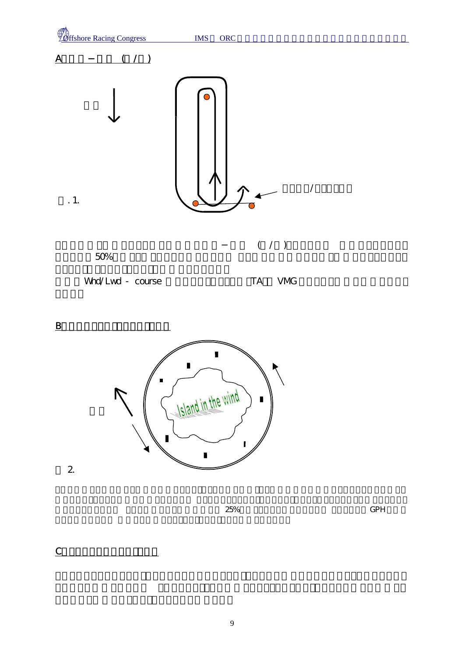

<u>ር</u>

 $25\%$  0.1  $25\%$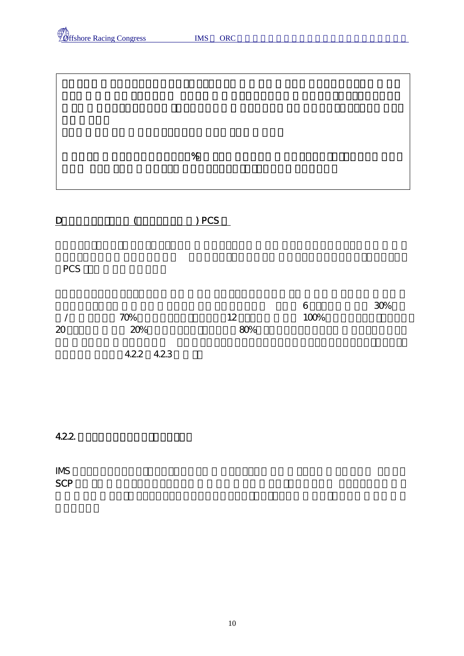|                               |                | $\%$        |           |       |
|-------------------------------|----------------|-------------|-----------|-------|
| D                             |                | ) PCS       |           |       |
| <b>PCS</b>                    |                |             |           |       |
| $\sqrt{ }$<br>$\overline{20}$ | $70%$<br>$20%$ | 12<br>$80%$ | 6<br>100% | $30%$ |
|                               | 4.22 4.23      |             |           |       |
|                               |                |             |           |       |
| 4.22                          |                |             |           |       |
| <b>IMS</b>                    |                |             |           |       |

 $SCP$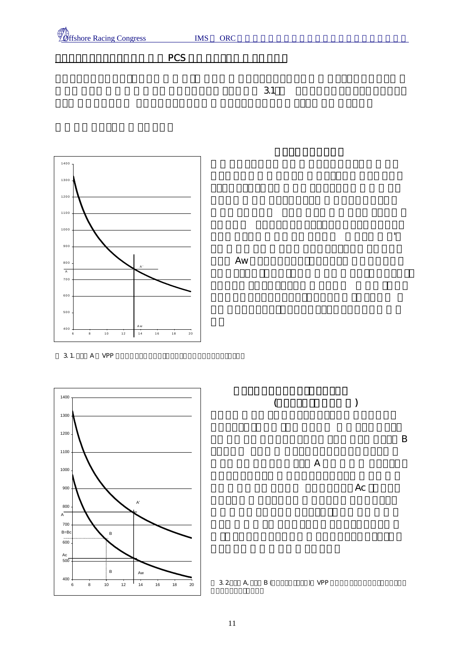





 $31$ 



3. 1. A VPP







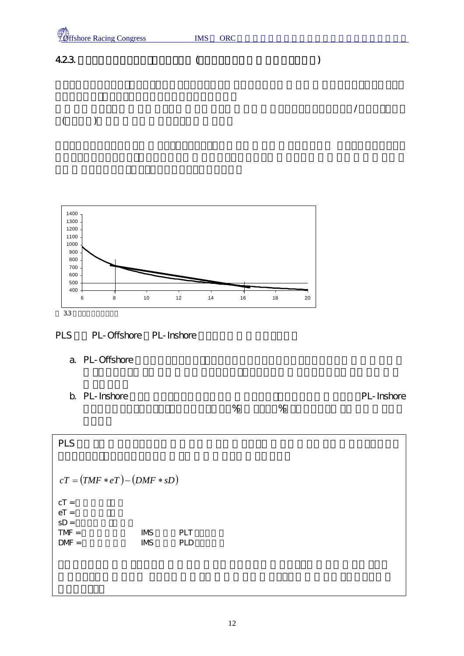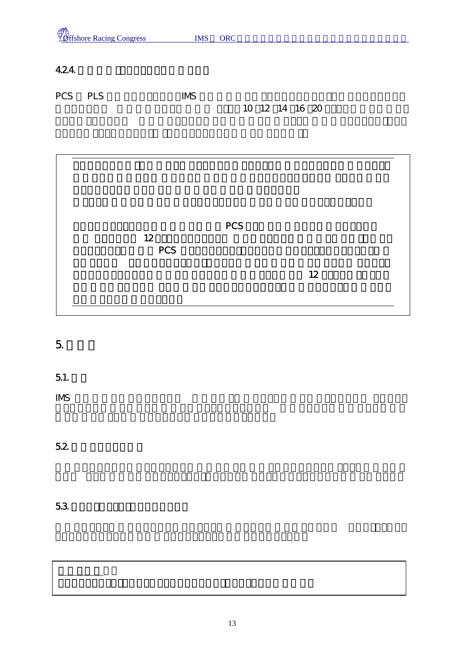|            | <b>Deffshore Racing Congress</b> | <b>IMS</b> | <b>ORC</b>     |
|------------|----------------------------------|------------|----------------|
| 4.24       |                                  |            |                |
| <b>PCS</b> | PLS                              | IMS        | 10 12 14 16 20 |
|            |                                  |            |                |

| 12<br>PCS | <b>PCS</b> |    |
|-----------|------------|----|
|           |            | 12 |

### 5. 実践編

 $5.1.$ 

 $1\text{MS}$ 

5.2

5.3.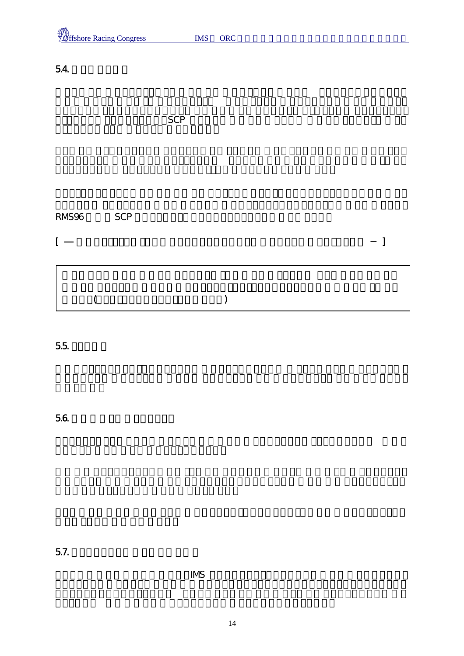#### $5.4.$

|                         |            | SCP |  |   |
|-------------------------|------------|-----|--|---|
|                         |            |     |  |   |
|                         |            |     |  |   |
|                         |            |     |  |   |
| RMS96                   | <b>SCP</b> |     |  |   |
| $\overline{\mathbf{I}}$ |            |     |  | 1 |
|                         |            |     |  |   |
|                         |            |     |  |   |

5.5.

難です。(オフショアまたはインショアが使えます)

5.6. 固定風速、固定コースタイプ

 $5.7.$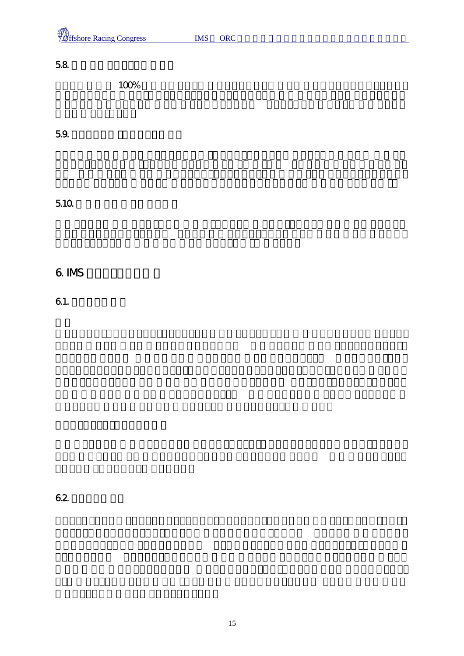| <b>The Election Studies</b><br>20 Offshore Racing Congress |  |
|------------------------------------------------------------|--|
|                                                            |  |

#### 5.8.

 $100\%$ 

IMS ORC

5.9.

5.10

### 6. IMS

 $61.$ 

 $62$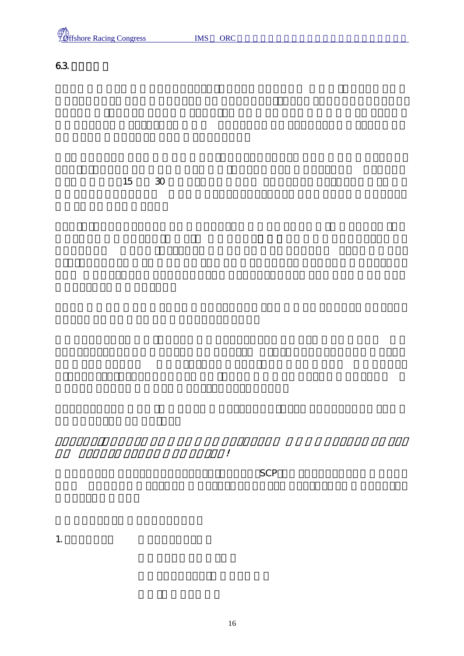#### 6.3. レース前日

 $15 \t 30$ 





1.  $\blacksquare$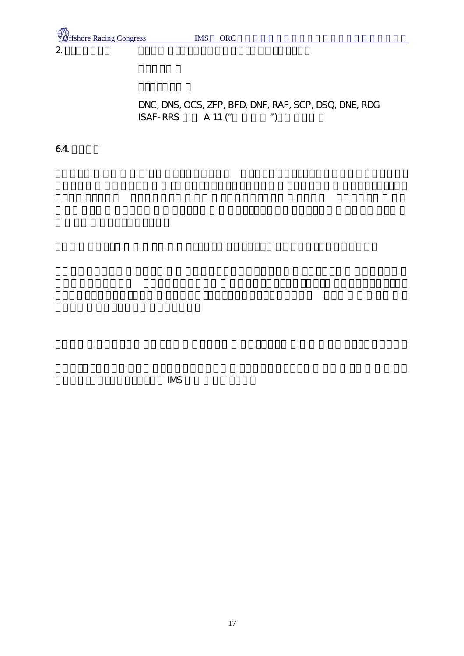DNC, DNS, OCS, ZFP, BFD, DNF, RAF, SCP, DSQ, DNE, RDG ISAF-RRS A 11 (" ")

64.

 $MSE$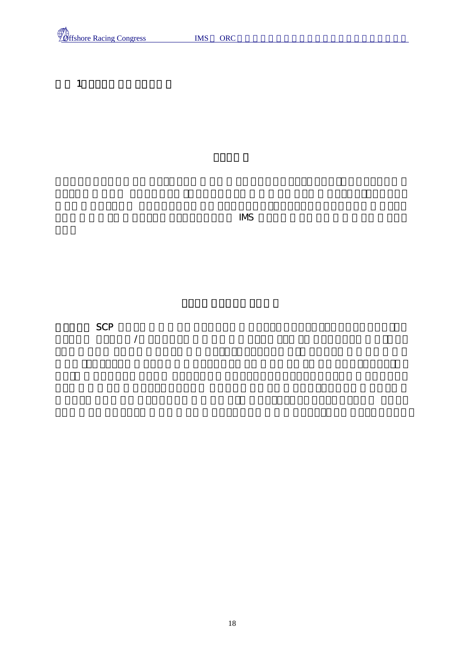Offshore Racing Congress IMS ORC

 $\sim$  1:  $\sim$   $\sim$   $\sim$   $\sim$   $\sim$   $\sim$ 

 $\mathsf{IMS}$ 

 $SCP$  $\sqrt{a}$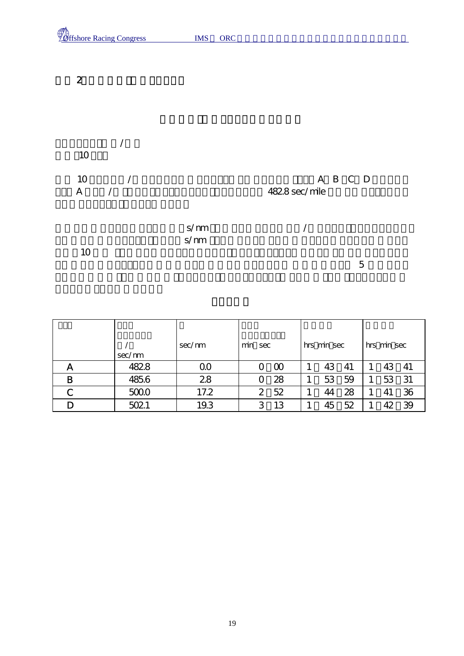

|   | sec/nm           | sec/nm         | min sec              | hrs min sec | hrs min sec |
|---|------------------|----------------|----------------------|-------------|-------------|
|   | 482.8            | 0 <sup>0</sup> | $\infty$<br>( )      | 43<br>41    | 43<br>41    |
| B | 485.6            | 28             | 28<br>Ő              | 53<br>59    | 31<br>53    |
|   | 500.0            | 17.2           | 52<br>$\overline{2}$ | 28<br>44    | 36          |
|   | 502 <sup>2</sup> | 19.3           |                      | 52          |             |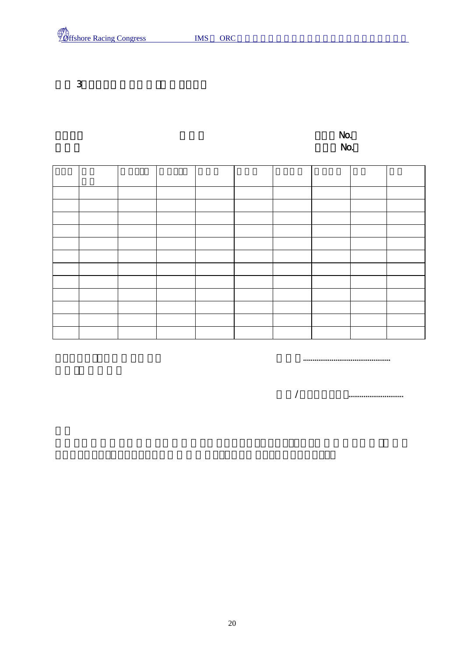$\overline{\mathbf{3}}$  3:  $\mathbf{1}$ 



ナビゲーションや気象に関する 署名: ..............................................

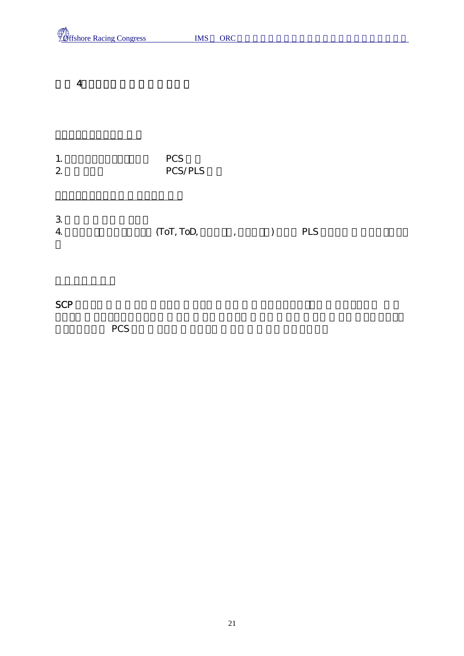| 4                    |                |  |     |  |
|----------------------|----------------|--|-----|--|
| 1.<br>$\overline{2}$ | PCS<br>PCS/PLS |  |     |  |
| $\mathfrak{S}$<br>4. | (ToT, ToD,     |  | PLS |  |

 $SCP$ 

PCS extended to the PCS and the set of the set of the set of the set of the set of the set of the set of the set of the set of the set of the set of the set of the set of the set of the set of the set of the set of the set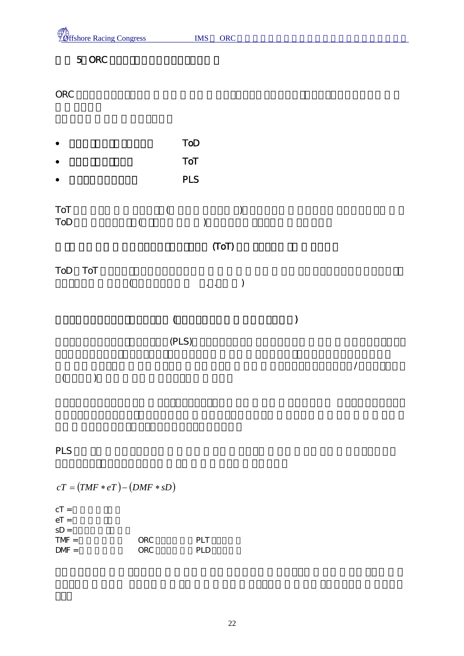#### 5 ORC

ORC ウェブのスコアリングのスコアリングのために記事をついています。

| <b>ToD</b> |
|------------|
| ToT        |
| <b>PLS</b> |
|            |

ToT ( ( ) ToD ( )

 $(ToT)$ 

ToD ToT  $\blacksquare$  $($   $\ldots)$ 

 $(12.333)$  $(PLS)$ 

 $\overline{\phantom{a}}$  $($ 

#### PLS **EXES**

 $cT = (TMF * eT) - (DMF * sD)$  $cT =$  $eT =$  $SD =$  $T\mathbf{M}\mathbf{F} = \mathbf{ORC} \qquad \qquad \mathsf{PLT}$  $DMF =$  ORC PLD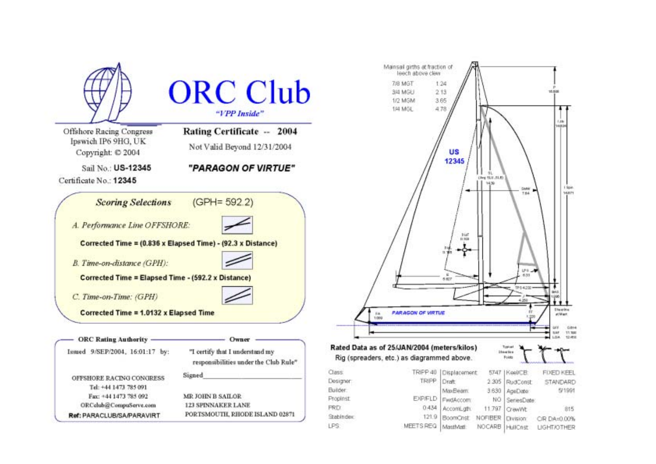



| юr: | <b>INFY Draft</b> |                                |                | 2.305 RudConst STANDARD                        |
|-----|-------------------|--------------------------------|----------------|------------------------------------------------|
|     |                   | MaxBeam.                       | 3.630 AgeDate  | 5/1991                                         |
| St. |                   | EXPIFLD FwdAccom               | NO SeriesDate: |                                                |
|     |                   | 0.434 Accomi.gtv 11.797 CrewWt |                | 815                                            |
| ie. |                   |                                |                | 121.9 BoomCnst NOFIBER Division C/R DA=0.00%   |
|     |                   |                                |                | MEETS REQ NeetMet: NOCARB HalfCost LIGHT/OTHER |